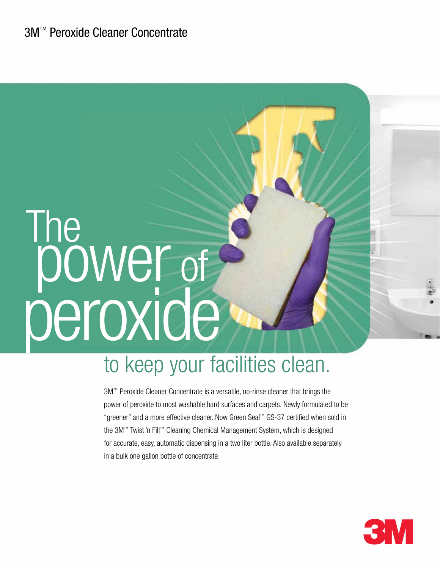# **The** power of peroxide

## to keep your facilities clean.

3M™ Peroxide Cleaner Concentrate is a versatile, no-rinse cleaner that brings the power of peroxide to most washable hard surfaces and carpets. Newly formulated to be "greener" and a more effective cleaner. Now Green Seal™ GS-37 certified when sold in the 3M™ Twist 'n Fill™ Cleaning Chemical Management System, which is designed for accurate, easy, automatic dispensing in a two liter bottle. Also available separately in a bulk one gallon bottle of concentrate.